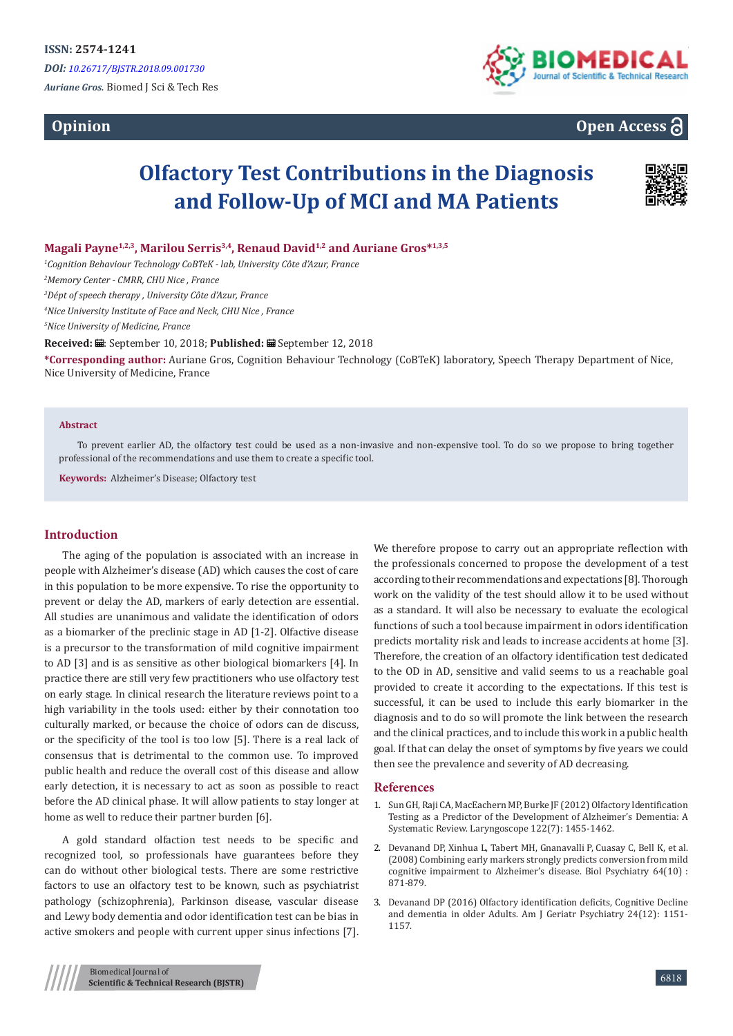# **Opinion**





# **Olfactory Test Contributions in the Diagnosis and Follow-Up of MCI and MA Patients**



### **Magali Payne1,2,3, Marilou Serris3,4, Renaud David1,2 and Auriane Gros\*1,3,5**

*1 Cognition Behaviour Technology CoBTeK - lab, University Côte d'Azur, France*

*2 Memory Center - CMRR, CHU Nice , France*

*3 Dépt of speech therapy , University Côte d'Azur, France*

*4 Nice University Institute of Face and Neck, CHU Nice , France*

*5 Nice University of Medicine, France*

Received: *:* .: September 10, 2018; Published: .: September 12, 2018

**\*Corresponding author:** Auriane Gros, Cognition Behaviour Technology (CoBTeK) laboratory, Speech Therapy Department of Nice, Nice University of Medicine, France

#### **Abstract**

To prevent earlier AD, the olfactory test could be used as a non-invasive and non-expensive tool. To do so we propose to bring together professional of the recommendations and use them to create a specific tool.

**Keywords:** Alzheimer's Disease; Olfactory test

#### **Introduction**

The aging of the population is associated with an increase in people with Alzheimer's disease (AD) which causes the cost of care in this population to be more expensive. To rise the opportunity to prevent or delay the AD, markers of early detection are essential. All studies are unanimous and validate the identification of odors as a biomarker of the preclinic stage in AD [1-2]. Olfactive disease is a precursor to the transformation of mild cognitive impairment to AD [3] and is as sensitive as other biological biomarkers [4]. In practice there are still very few practitioners who use olfactory test on early stage. In clinical research the literature reviews point to a high variability in the tools used: either by their connotation too culturally marked, or because the choice of odors can de discuss, or the specificity of the tool is too low [5]. There is a real lack of consensus that is detrimental to the common use. To improved public health and reduce the overall cost of this disease and allow early detection, it is necessary to act as soon as possible to react before the AD clinical phase. It will allow patients to stay longer at home as well to reduce their partner burden [6].

A gold standard olfaction test needs to be specific and recognized tool, so professionals have guarantees before they can do without other biological tests. There are some restrictive factors to use an olfactory test to be known, such as psychiatrist pathology (schizophrenia), Parkinson disease, vascular disease and Lewy body dementia and odor identification test can be bias in active smokers and people with current upper sinus infections [7].

We therefore propose to carry out an appropriate reflection with the professionals concerned to propose the development of a test according to their recommendations and expectations [8]. Thorough work on the validity of the test should allow it to be used without as a standard. It will also be necessary to evaluate the ecological functions of such a tool because impairment in odors identification predicts mortality risk and leads to increase accidents at home [3]. Therefore, the creation of an olfactory identification test dedicated to the OD in AD, sensitive and valid seems to us a reachable goal provided to create it according to the expectations. If this test is successful, it can be used to include this early biomarker in the diagnosis and to do so will promote the link between the research and the clinical practices, and to include this work in a public health goal. If that can delay the onset of symptoms by five years we could then see the prevalence and severity of AD decreasing.

#### **References**

- 1. [Sun GH, Raji CA, MacEachern MP, Burke JF \(2012\) Olfactory Identification](https://www.ncbi.nlm.nih.gov/pubmed/22552846) [Testing as a Predictor of the Development of Alzheimer's Dementia: A](https://www.ncbi.nlm.nih.gov/pubmed/22552846) [Systematic Review. Laryngoscope 122\(7\): 1455-1462.](https://www.ncbi.nlm.nih.gov/pubmed/22552846)
- 2. [Devanand DP, Xinhua L, Tabert MH, Gnanavalli P, Cuasay C, Bell K, et al.](https://www.ncbi.nlm.nih.gov/pmc/articles/PMC2613777/) [\(2008\) Combining early markers strongly predicts conversion from mild](https://www.ncbi.nlm.nih.gov/pmc/articles/PMC2613777/) [cognitive impairment to Alzheimer's disease. Biol Psychiatry 64\(10\)](https://www.ncbi.nlm.nih.gov/pmc/articles/PMC2613777/) : [871-879.](https://www.ncbi.nlm.nih.gov/pmc/articles/PMC2613777/)
- 3. [Devanand DP \(2016\) Olfactory identification deficits, Cognitive Decline](https://www.ncbi.nlm.nih.gov/pubmed/27745824) [and dementia in older Adults. Am J Geriatr Psychiatry 24\(12\): 1151-](https://www.ncbi.nlm.nih.gov/pubmed/27745824) [1157.](https://www.ncbi.nlm.nih.gov/pubmed/27745824)